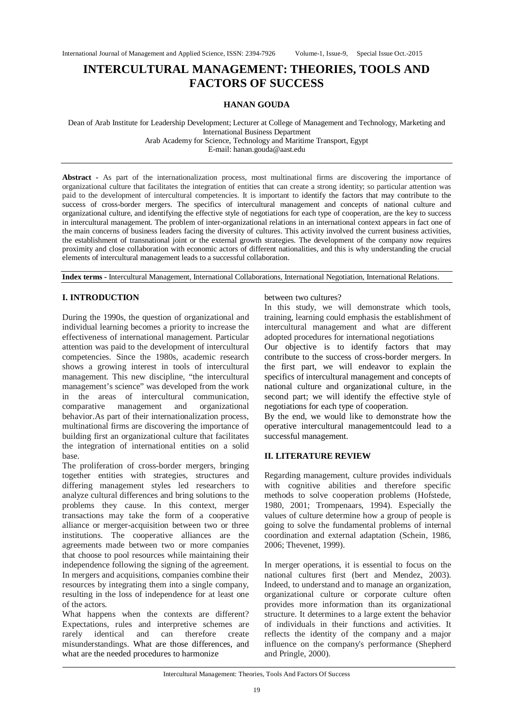# **INTERCULTURAL MANAGEMENT: THEORIES, TOOLS AND FACTORS OF SUCCESS**

#### **HANAN GOUDA**

Dean of Arab Institute for Leadership Development; Lecturer at College of Management and Technology, Marketing and International Business Department Arab Academy for Science, Technology and Maritime Transport, Egypt E-mail: hanan.gouda@aast.edu

**Abstract -** As part of the internationalization process, most multinational firms are discovering the importance of organizational culture that facilitates the integration of entities that can create a strong identity; so particular attention was paid to the development of intercultural competencies. It is important to identify the factors that may contribute to the success of cross-border mergers. The specifics of intercultural management and concepts of national culture and organizational culture, and identifying the effective style of negotiations for each type of cooperation, are the key to success in intercultural management. The problem of inter-organizational relations in an international context appears in fact one of the main concerns of business leaders facing the diversity of cultures. This activity involved the current business activities, the establishment of transnational joint or the external growth strategies. The development of the company now requires proximity and close collaboration with economic actors of different nationalities, and this is why understanding the crucial elements of intercultural management leads to a successful collaboration.

**Index terms -** Intercultural Management, International Collaborations, International Negotiation, International Relations.

## **I. INTRODUCTION**

During the 1990s, the question of organizational and individual learning becomes a priority to increase the effectiveness of international management. Particular attention was paid to the development of intercultural competencies. Since the 1980s, academic research shows a growing interest in tools of intercultural management. This new discipline, "the intercultural management's science" was developed from the work in the areas of intercultural communication, comparative management and organizational behavior.As part of their internationalization process, multinational firms are discovering the importance of building first an organizational culture that facilitates the integration of international entities on a solid base.

The proliferation of cross-border mergers, bringing together entities with strategies, structures and differing management styles led researchers to analyze cultural differences and bring solutions to the problems they cause. In this context, merger transactions may take the form of a cooperative alliance or merger-acquisition between two or three institutions. The cooperative alliances are the agreements made between two or more companies that choose to pool resources while maintaining their independence following the signing of the agreement. In mergers and acquisitions, companies combine their resources by integrating them into a single company, resulting in the loss of independence for at least one of the actors.

What happens when the contexts are different? Expectations, rules and interpretive schemes are rarely identical and can therefore create misunderstandings. What are those differences, and what are the needed procedures to harmonize

#### between two cultures?

In this study, we will demonstrate which tools, training, learning could emphasis the establishment of intercultural management and what are different adopted procedures for international negotiations

Our objective is to identify factors that may contribute to the success of cross-border mergers. In the first part, we will endeavor to explain the specifics of intercultural management and concepts of national culture and organizational culture, in the second part; we will identify the effective style of negotiations for each type of cooperation.

By the end, we would like to demonstrate how the operative intercultural managementcould lead to a successful management.

## **II. LITERATURE REVIEW**

Regarding management, culture provides individuals with cognitive abilities and therefore specific methods to solve cooperation problems (Hofstede, 1980, 2001; Trompenaars, 1994). Especially the values of culture determine how a group of people is going to solve the fundamental problems of internal coordination and external adaptation (Schein, 1986, 2006; Thevenet, 1999).

In merger operations, it is essential to focus on the national cultures first (bert and Mendez, 2003). Indeed, to understand and to manage an organization, organizational culture or corporate culture often provides more information than its organizational structure. It determines to a large extent the behavior of individuals in their functions and activities. It reflects the identity of the company and a major influence on the company's performance (Shepherd and Pringle, 2000).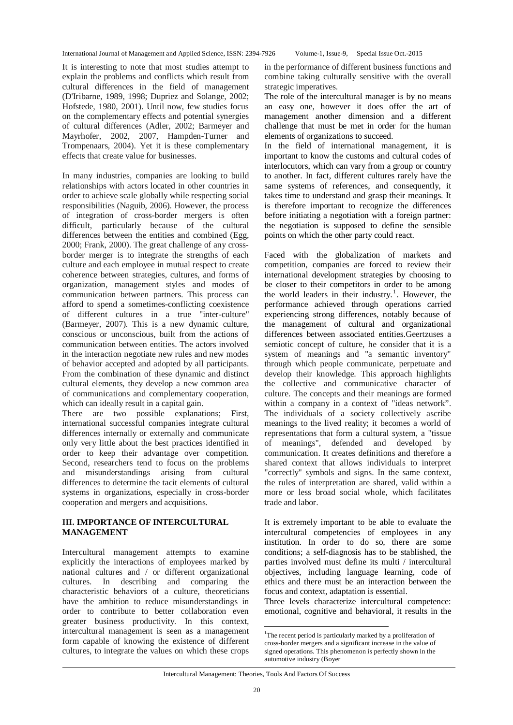It is interesting to note that most studies attempt to explain the problems and conflicts which result from cultural differences in the field of management (D'Iribarne, 1989, 1998; Dupriez and Solange, 2002; Hofstede, 1980, 2001). Until now, few studies focus on the complementary effects and potential synergies of cultural differences (Adler, 2002; Barmeyer and Mayrhofer, 2002, 2007, Hampden-Turner and Trompenaars, 2004). Yet it is these complementary effects that create value for businesses.

In many industries, companies are looking to build relationships with actors located in other countries in order to achieve scale globally while respecting social responsibilities (Naguib, 2006). However, the process of integration of cross-border mergers is often difficult, particularly because of the cultural differences between the entities and combined (Egg, 2000; Frank, 2000). The great challenge of any crossborder merger is to integrate the strengths of each culture and each employee in mutual respect to create coherence between strategies, cultures, and forms of organization, management styles and modes of communication between partners. This process can afford to spend a sometimes-conflicting coexistence of different cultures in a true "inter-culture" (Barmeyer, 2007). This is a new dynamic culture, conscious or unconscious, built from the actions of communication between entities. The actors involved in the interaction negotiate new rules and new modes of behavior accepted and adopted by all participants. From the combination of these dynamic and distinct cultural elements, they develop a new common area of communications and complementary cooperation, which can ideally result in a capital gain.

There are two possible explanations; First, international successful companies integrate cultural differences internally or externally and communicate only very little about the best practices identified in order to keep their advantage over competition. Second, researchers tend to focus on the problems and misunderstandings arising from cultural differences to determine the tacit elements of cultural systems in organizations, especially in cross-border cooperation and mergers and acquisitions.

## **III. IMPORTANCE OF INTERCULTURAL MANAGEMENT**

Intercultural management attempts to examine explicitly the interactions of employees marked by national cultures and / or different organizational cultures. In describing and comparing the characteristic behaviors of a culture, theoreticians have the ambition to reduce misunderstandings in order to contribute to better collaboration even greater business productivity. In this context, intercultural management is seen as a management form capable of knowing the existence of different cultures, to integrate the values on which these crops

in the performance of different business functions and combine taking culturally sensitive with the overall strategic imperatives.

The role of the intercultural manager is by no means an easy one, however it does offer the art of management another dimension and a different challenge that must be met in order for the human elements of organizations to succeed.

In the field of international management, it is important to know the customs and cultural codes of interlocutors, which can vary from a group or country to another. In fact, different cultures rarely have the same systems of references, and consequently, it takes time to understand and grasp their meanings. It is therefore important to recognize the differences before initiating a negotiation with a foreign partner: the negotiation is supposed to define the sensible points on which the other party could react.

Faced with the globalization of markets and competition, companies are forced to review their international development strategies by choosing to be closer to their competitors in order to be among the world leaders in their industry.<sup>1</sup>. However, the performance achieved through operations carried experiencing strong differences, notably because of the management of cultural and organizational differences between associated entities.Geertzuses a semiotic concept of culture, he consider that it is a system of meanings and "a semantic inventory" through which people communicate, perpetuate and develop their knowledge. This approach highlights the collective and communicative character of culture. The concepts and their meanings are formed within a company in a context of "ideas network". The individuals of a society collectively ascribe meanings to the lived reality; it becomes a world of representations that form a cultural system, a "tissue of meanings", defended and developed by communication. It creates definitions and therefore a shared context that allows individuals to interpret "correctly" symbols and signs. In the same context, the rules of interpretation are shared, valid within a more or less broad social whole, which facilitates trade and labor.

It is extremely important to be able to evaluate the intercultural competencies of employees in any institution. In order to do so, there are some conditions; a self-diagnosis has to be stablished, the parties involved must define its multi / intercultural objectives, including language learning, code of ethics and there must be an interaction between the focus and context, adaptation is essential.

Three levels characterize intercultural competence: emotional, cognitive and behavioral, it results in the

 $\overline{a}$ 

<sup>&</sup>lt;sup>1</sup>The recent period is particularly marked by a proliferation of cross-border mergers and a significant increase in the value of signed operations. This phenomenon is perfectly shown in the automotive industry (Boyer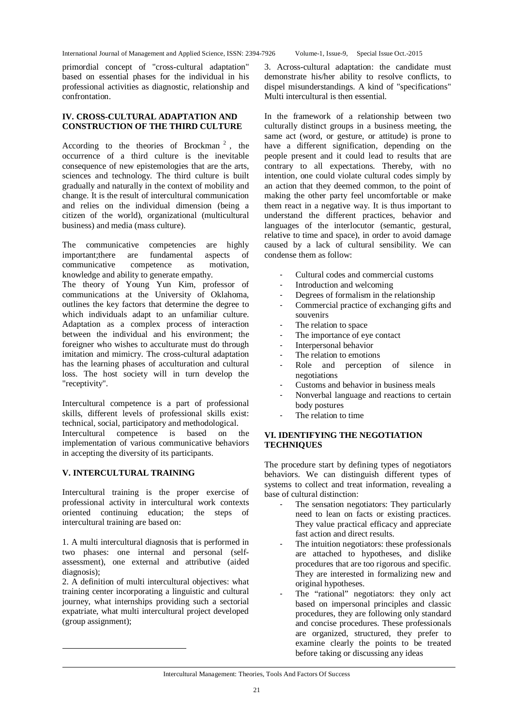primordial concept of "cross-cultural adaptation" based on essential phases for the individual in his professional activities as diagnostic, relationship and confrontation.

#### **IV. CROSS-CULTURAL ADAPTATION AND CONSTRUCTION OF THE THIRD CULTURE**

According to the theories of Brockman<sup>2</sup>, the occurrence of a third culture is the inevitable consequence of new epistemologies that are the arts, sciences and technology. The third culture is built gradually and naturally in the context of mobility and change. It is the result of intercultural communication and relies on the individual dimension (being a citizen of the world), organizational (multicultural business) and media (mass culture).

The communicative competencies are highly<br>important:there are fundamental aspects of important;there are fundamental aspects of communicative competence as motivation, knowledge and ability to generate empathy.

The theory of Young Yun Kim, professor of communications at the University of Oklahoma, outlines the key factors that determine the degree to which individuals adapt to an unfamiliar culture. Adaptation as a complex process of interaction between the individual and his environment; the foreigner who wishes to acculturate must do through imitation and mimicry. The cross-cultural adaptation has the learning phases of acculturation and cultural loss. The host society will in turn develop the "receptivity".

Intercultural competence is a part of professional skills, different levels of professional skills exist: technical, social, participatory and methodological. Intercultural competence is based on the implementation of various communicative behaviors in accepting the diversity of its participants.

## **V. INTERCULTURAL TRAINING**

 $\overline{a}$ 

Intercultural training is the proper exercise of professional activity in intercultural work contexts oriented continuing education; the steps of intercultural training are based on:

1. A multi intercultural diagnosis that is performed in two phases: one internal and personal (selfassessment), one external and attributive (aided diagnosis);

2. A definition of multi intercultural objectives: what training center incorporating a linguistic and cultural journey, what internships providing such a sectorial expatriate, what multi intercultural project developed (group assignment);

3. Across-cultural adaptation: the candidate must demonstrate his/her ability to resolve conflicts, to dispel misunderstandings. A kind of "specifications" Multi intercultural is then essential.

In the framework of a relationship between two culturally distinct groups in a business meeting, the same act (word, or gesture, or attitude) is prone to have a different signification, depending on the people present and it could lead to results that are contrary to all expectations. Thereby, with no intention, one could violate cultural codes simply by an action that they deemed common, to the point of making the other party feel uncomfortable or make them react in a negative way. It is thus important to understand the different practices, behavior and languages of the interlocutor (semantic, gestural, relative to time and space), in order to avoid damage caused by a lack of cultural sensibility. We can condense them as follow:

- Cultural codes and commercial customs
- Introduction and welcoming
- Degrees of formalism in the relationship
- Commercial practice of exchanging gifts and souvenirs
- The relation to space
- The importance of eye contact
- Interpersonal behavior
- The relation to emotions
- Role and perception of silence in negotiations
- Customs and behavior in business meals
- Nonverbal language and reactions to certain body postures
- The relation to time

## **VI. IDENTIFYING THE NEGOTIATION TECHNIQUES**

The procedure start by defining types of negotiators behaviors. We can distinguish different types of systems to collect and treat information, revealing a base of cultural distinction:

- The sensation negotiators: They particularly need to lean on facts or existing practices. They value practical efficacy and appreciate fast action and direct results.
- The intuition negotiators: these professionals are attached to hypotheses, and dislike procedures that are too rigorous and specific. They are interested in formalizing new and original hypotheses.
- The "rational" negotiators: they only act based on impersonal principles and classic procedures, they are following only standard and concise procedures. These professionals are organized, structured, they prefer to examine clearly the points to be treated before taking or discussing any ideas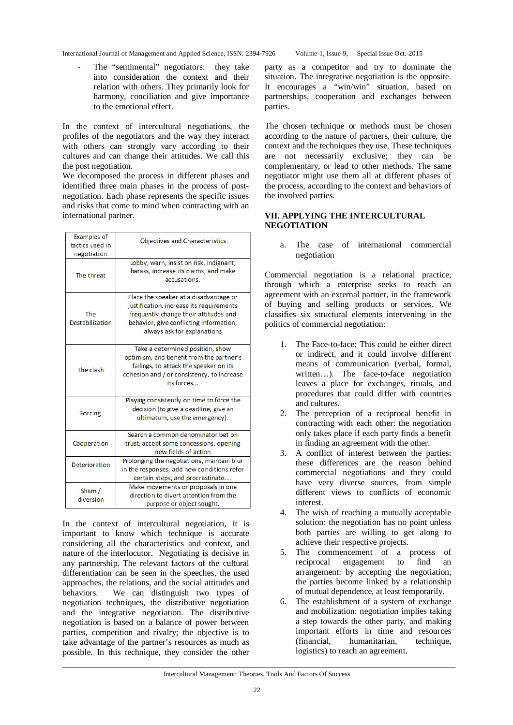The "sentimental" negotiators: they take into consideration the context and their relation with others. They primarily look for harmony, conciliation and give importance to the emotional effect.

In the context of intercultural negotiations, the profiles of the negotiators and the way they interact with others can strongly vary according to their cultures and can change their attitudes. We call this the post negotiation.

We decomposed the process in different phases and identified three main phases in the process of postnegotiation. Each phase represents the specific issues and risks that come to mind when contracting with an international partner.

| Examples of<br>tactics used in<br>negotiation | <b>Objectives and Characteristics</b>                                                                                                                                                                 |
|-----------------------------------------------|-------------------------------------------------------------------------------------------------------------------------------------------------------------------------------------------------------|
| The threat                                    | Lobby, warn, insist on risk, indignant,<br>harass, increase its claims, and make<br>accusations.                                                                                                      |
| The<br>Destabilization                        | Place the speaker at a disadvantage or<br>justification, increase its requirements<br>frequently change their attitudes and<br>behavior, give conflicting information,<br>always ask for explanations |
| The clash                                     | Take a determined position, show<br>optimism, and benefit from the partner's<br>failings, to attack the speaker on its<br>cohesion and / or consistency, to increase<br>its forces                    |
| Forcing                                       | Playing consistently on time to force the<br>decision (to give a deadline, give an<br>ultimatum, use the emergency).                                                                                  |
| Cooperation                                   | Search a common denominator bet on<br>trust, accept some concessions, opening<br>new fields of action                                                                                                 |
| <b>Deterioration</b>                          | Prolonging the negotiations, maintain blur<br>in the responses, add new conditions refer<br>certain steps, and procrastinate                                                                          |
| Sham/<br>diversion                            | Make movements or proposals in one<br>direction to divert attention from the<br>purpose or object sought.                                                                                             |

In the context of intercultural negotiation, it is important to know which technique is accurate considering all the characteristics and context, and nature of the interlocutor. Negotiating is decisive in any partnership. The relevant factors of the cultural differentiation can be seen in the speeches, the used approaches, the relations, and the social attitudes and behaviors. We can distinguish two types of negotiation techniques, the distributive negotiation and the integrative negotiation. The distributive negotiation is based on a balance of power between parties, competition and rivalry; the objective is to take advantage of the partner's resources as much as possible. In this technique, they consider the other

party as a competitor and try to dominate the situation. The integrative negotiation is the opposite. It encourages a "win/win" situation, based on partnerships, cooperation and exchanges between parties.

The chosen technique or methods must be chosen according to the nature of partners, their culture, the context and the techniques they use. These techniques are not necessarily exclusive; they can be complementary, or lead to other methods. The same negotiator might use them all at different phases of the process, according to the context and behaviors of the involved parties.

## **VII. APPLYING THE INTERCULTURAL NEGOTIATION**

a. The case of international commercial negotiation

Commercial negotiation is a relational practice, through which a enterprise seeks to reach an agreement with an external partner, in the framework of buying and selling products or services. We classifies six structural elements intervening in the politics of commercial negotiation:

- 1. The Face-to-face: This could be either direct or indirect, and it could involve different means of communication (verbal, formal, written…). The face-to-face negotiation leaves a place for exchanges, rituals, and procedures that could differ with countries and cultures.
- 2. The perception of a reciprocal benefit in contracting with each other: the negotiation only takes place if each party finds a benefit in finding an agreement with the other.
- 3. A conflict of interest between the parties: these differences are the reason behind commercial negotiations and they could have very diverse sources, from simple different views to conflicts of economic interest.
- 4. The wish of reaching a mutually acceptable solution: the negotiation has no point unless both parties are willing to get along to achieve their respective projects.
- 5. The commencement of a process of reciprocal engagement to find an arrangement: by accepting the negotiation, the parties become linked by a relationship of mutual dependence, at least temporarily.
- 6. The establishment of a system of exchange and mobilization: negotiation implies taking a step towards the other party, and making important efforts in time and resources (financial, humanitarian, technique, logistics) to reach an agreement.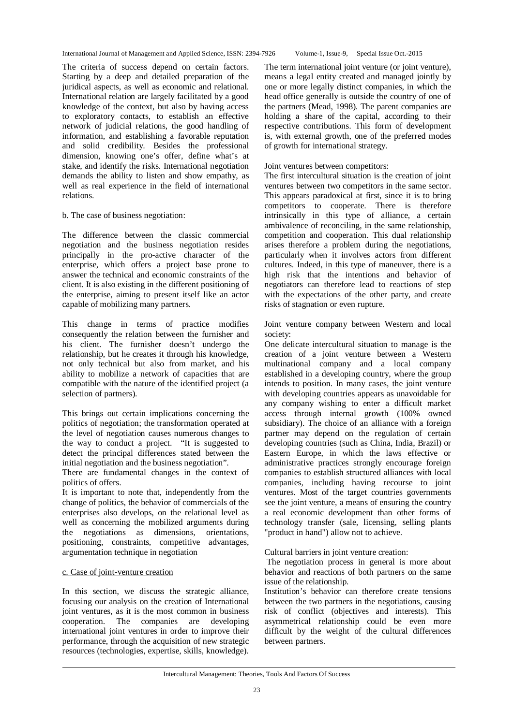The criteria of success depend on certain factors. Starting by a deep and detailed preparation of the juridical aspects, as well as economic and relational. International relation are largely facilitated by a good knowledge of the context, but also by having access to exploratory contacts, to establish an effective network of judicial relations, the good handling of information, and establishing a favorable reputation and solid credibility. Besides the professional dimension, knowing one's offer, define what's at stake, and identify the risks. International negotiation demands the ability to listen and show empathy, as well as real experience in the field of international relations.

## b. The case of business negotiation:

The difference between the classic commercial negotiation and the business negotiation resides principally in the pro-active character of the enterprise, which offers a project base prone to answer the technical and economic constraints of the client. It is also existing in the different positioning of the enterprise, aiming to present itself like an actor capable of mobilizing many partners.

This change in terms of practice modifies consequently the relation between the furnisher and his client. The furnisher doesn't undergo the relationship, but he creates it through his knowledge, not only technical but also from market, and his ability to mobilize a network of capacities that are compatible with the nature of the identified project (a selection of partners).

This brings out certain implications concerning the politics of negotiation; the transformation operated at the level of negotiation causes numerous changes to the way to conduct a project. "It is suggested to detect the principal differences stated between the initial negotiation and the business negotiation".

There are fundamental changes in the context of politics of offers.

It is important to note that, independently from the change of politics, the behavior of commercials of the enterprises also develops, on the relational level as well as concerning the mobilized arguments during the negotiations as dimensions, orientations, positioning, constraints, competitive advantages, argumentation technique in negotiation

## c. Case of joint-venture creation

In this section, we discuss the strategic alliance, focusing our analysis on the creation of International joint ventures, as it is the most common in business cooperation. The companies are developing international joint ventures in order to improve their performance, through the acquisition of new strategic resources (technologies, expertise, skills, knowledge).

The term international joint venture (or joint venture), means a legal entity created and managed jointly by one or more legally distinct companies, in which the head office generally is outside the country of one of the partners (Mead, 1998). The parent companies are holding a share of the capital, according to their respective contributions. This form of development is, with external growth, one of the preferred modes of growth for international strategy.

#### Joint ventures between competitors:

The first intercultural situation is the creation of joint ventures between two competitors in the same sector. This appears paradoxical at first, since it is to bring competitors to cooperate. There is therefore intrinsically in this type of alliance, a certain ambivalence of reconciling, in the same relationship, competition and cooperation. This dual relationship arises therefore a problem during the negotiations, particularly when it involves actors from different cultures. Indeed, in this type of maneuver, there is a high risk that the intentions and behavior of negotiators can therefore lead to reactions of step with the expectations of the other party, and create risks of stagnation or even rupture.

Joint venture company between Western and local society:

One delicate intercultural situation to manage is the creation of a joint venture between a Western multinational company and a local company established in a developing country, where the group intends to position. In many cases, the joint venture with developing countries appears as unavoidable for any company wishing to enter a difficult market access through internal growth (100% owned subsidiary). The choice of an alliance with a foreign partner may depend on the regulation of certain developing countries (such as China, India, Brazil) or Eastern Europe, in which the laws effective or administrative practices strongly encourage foreign companies to establish structured alliances with local companies, including having recourse to joint ventures. Most of the target countries governments see the joint venture, a means of ensuring the country a real economic development than other forms of technology transfer (sale, licensing, selling plants "product in hand") allow not to achieve.

Cultural barriers in joint venture creation:

The negotiation process in general is more about behavior and reactions of both partners on the same issue of the relationship.

Institution's behavior can therefore create tensions between the two partners in the negotiations, causing risk of conflict (objectives and interests). This asymmetrical relationship could be even more difficult by the weight of the cultural differences between partners.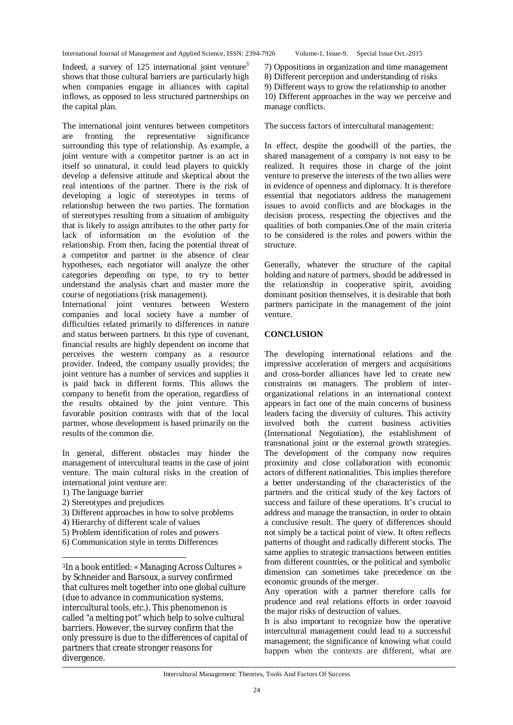Indeed, a survey of  $125$  international joint venture<sup>3</sup> shows that those cultural barriers are particularly high when companies engage in alliances with capital inflows, as opposed to less structured partnerships on the capital plan.

The international joint ventures between competitors<br>are fronting the representative significance are fronting the representative surrounding this type of relationship. As example, a joint venture with a competitor partner is an act in itself so unnatural, it could lead players to quickly develop a defensive attitude and skeptical about the real intentions of the partner. There is the risk of developing a logic of stereotypes in terms of relationship between the two parties. The formation of stereotypes resulting from a situation of ambiguity that is likely to assign attributes to the other party for lack of information on the evolution of the relationship. From then, facing the potential threat of a competitor and partner in the absence of clear hypotheses, each negotiator will analyze the other categories depending on type, to try to better understand the analysis chart and master more the course of negotiations (risk management).

International joint ventures between Western companies and local society have a number of difficulties related primarily to differences in nature and status between partners. In this type of covenant, financial results are highly dependent on income that perceives the western company as a resource provider. Indeed, the company usually provides; the joint venture has a number of services and supplies it is paid back in different forms. This allows the company to benefit from the operation, regardless of the results obtained by the joint venture. This favorable position contrasts with that of the local partner, whose development is based primarily on the results of the common die.

In general, different obstacles may hinder the management of intercultural teams in the case of joint venture. The main cultural risks in the creation of international joint venture are:

1) The language barrier

 $\overline{a}$ 

- 2) Stereotypes and prejudices
- 3) Different approaches in how to solve problems
- 4) Hierarchy of different scale of values
- 5) Problem identification of roles and powers
- 6) Communication style in terms Differences

<sup>3</sup>In a book entitled: « Managing Across Cultures » by Schneider and Barsoux, a survey confirmed that cultures melt together into one global culture (due to advance in communication systems, intercultural tools, etc.). This phenomenon is called "a melting pot" which help to solve cultural barriers. However, the survey confirm that the only pressure is due to the differences of capital of partners that create stronger reasons for divergence.

7) Oppositions in organization and time management

8) Different perception and understanding of risks

9) Different ways to grow the relationship to another 10) Different approaches in the way we perceive and manage conflicts.

The success factors of intercultural management:

In effect, despite the goodwill of the parties, the shared management of a company is not easy to be realized. It requires those in charge of the joint venture to preserve the interests of the two allies were in evidence of openness and diplomacy. It is therefore essential that negotiators address the management issues to avoid conflicts and are blockages in the decision process, respecting the objectives and the qualities of both companies.One of the main criteria to be considered is the roles and powers within the structure.

Generally, whatever the structure of the capital holding and nature of partners, should be addressed in the relationship in cooperative spirit, avoiding dominant position themselves, it is desirable that both partners participate in the management of the joint venture.

## **CONCLUSION**

The developing international relations and the impressive acceleration of mergers and acquisitions and cross-border alliances have led to create new constraints on managers. The problem of interorganizational relations in an international context appears in fact one of the main concerns of business leaders facing the diversity of cultures. This activity involved both the current business activities (International Negotiation), the establishment of transnational joint or the external growth strategies. The development of the company now requires proximity and close collaboration with economic actors of different nationalities. This implies therefore a better understanding of the characteristics of the partners and the critical study of the key factors of success and failure of these operations. It's crucial to address and manage the transaction, in order to obtain a conclusive result. The query of differences should not simply be a tactical point of view. It often reflects patterns of thought and radically different stocks. The same applies to strategic transactions between entities from different countries, or the political and symbolic dimension can sometimes take precedence on the economic grounds of the merger.

Any operation with a partner therefore calls for prudence and real relations efforts in order toavoid the major risks of destruction of values.

It is also important to recognize how the operative intercultural management could lead to a successful management; the significance of knowing what could happen when the contexts are different, what are